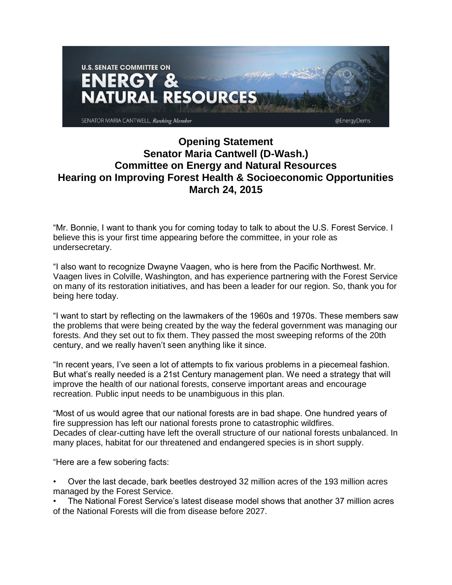

## **Opening Statement Senator Maria Cantwell (D-Wash.) Committee on Energy and Natural Resources Hearing on Improving Forest Health & Socioeconomic Opportunities March 24, 2015**

"Mr. Bonnie, I want to thank you for coming today to talk to about the U.S. Forest Service. I believe this is your first time appearing before the committee, in your role as undersecretary.

"I also want to recognize Dwayne Vaagen, who is here from the Pacific Northwest. Mr. Vaagen lives in Colville, Washington, and has experience partnering with the Forest Service on many of its restoration initiatives, and has been a leader for our region. So, thank you for being here today.

"I want to start by reflecting on the lawmakers of the 1960s and 1970s. These members saw the problems that were being created by the way the federal government was managing our forests. And they set out to fix them. They passed the most sweeping reforms of the 20th century, and we really haven't seen anything like it since.

"In recent years, I've seen a lot of attempts to fix various problems in a piecemeal fashion. But what's really needed is a 21st Century management plan. We need a strategy that will improve the health of our national forests, conserve important areas and encourage recreation. Public input needs to be unambiguous in this plan.

"Most of us would agree that our national forests are in bad shape. One hundred years of fire suppression has left our national forests prone to catastrophic wildfires. Decades of clear-cutting have left the overall structure of our national forests unbalanced. In many places, habitat for our threatened and endangered species is in short supply.

"Here are a few sobering facts:

• Over the last decade, bark beetles destroyed 32 million acres of the 193 million acres managed by the Forest Service.

• The National Forest Service's latest disease model shows that another 37 million acres of the National Forests will die from disease before 2027.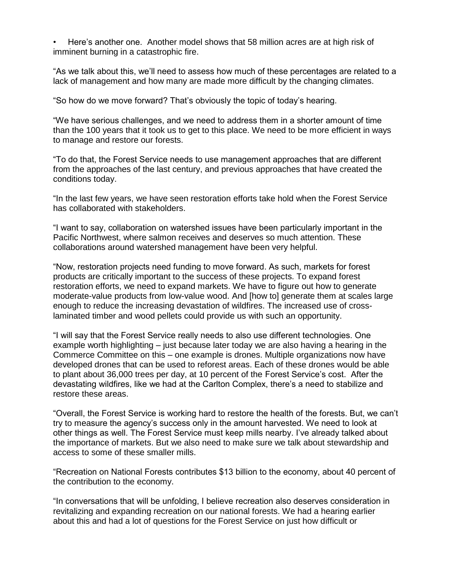• Here's another one. Another model shows that 58 million acres are at high risk of imminent burning in a catastrophic fire.

"As we talk about this, we'll need to assess how much of these percentages are related to a lack of management and how many are made more difficult by the changing climates.

"So how do we move forward? That's obviously the topic of today's hearing.

"We have serious challenges, and we need to address them in a shorter amount of time than the 100 years that it took us to get to this place. We need to be more efficient in ways to manage and restore our forests.

"To do that, the Forest Service needs to use management approaches that are different from the approaches of the last century, and previous approaches that have created the conditions today.

"In the last few years, we have seen restoration efforts take hold when the Forest Service has collaborated with stakeholders.

"I want to say, collaboration on watershed issues have been particularly important in the Pacific Northwest, where salmon receives and deserves so much attention. These collaborations around watershed management have been very helpful.

"Now, restoration projects need funding to move forward. As such, markets for forest products are critically important to the success of these projects. To expand forest restoration efforts, we need to expand markets. We have to figure out how to generate moderate-value products from low-value wood. And [how to] generate them at scales large enough to reduce the increasing devastation of wildfires. The increased use of crosslaminated timber and wood pellets could provide us with such an opportunity.

"I will say that the Forest Service really needs to also use different technologies. One example worth highlighting – just because later today we are also having a hearing in the Commerce Committee on this – one example is drones. Multiple organizations now have developed drones that can be used to reforest areas. Each of these drones would be able to plant about 36,000 trees per day, at 10 percent of the Forest Service's cost. After the devastating wildfires, like we had at the Carlton Complex, there's a need to stabilize and restore these areas.

"Overall, the Forest Service is working hard to restore the health of the forests. But, we can't try to measure the agency's success only in the amount harvested. We need to look at other things as well. The Forest Service must keep mills nearby. I've already talked about the importance of markets. But we also need to make sure we talk about stewardship and access to some of these smaller mills.

"Recreation on National Forests contributes \$13 billion to the economy, about 40 percent of the contribution to the economy.

"In conversations that will be unfolding, I believe recreation also deserves consideration in revitalizing and expanding recreation on our national forests. We had a hearing earlier about this and had a lot of questions for the Forest Service on just how difficult or